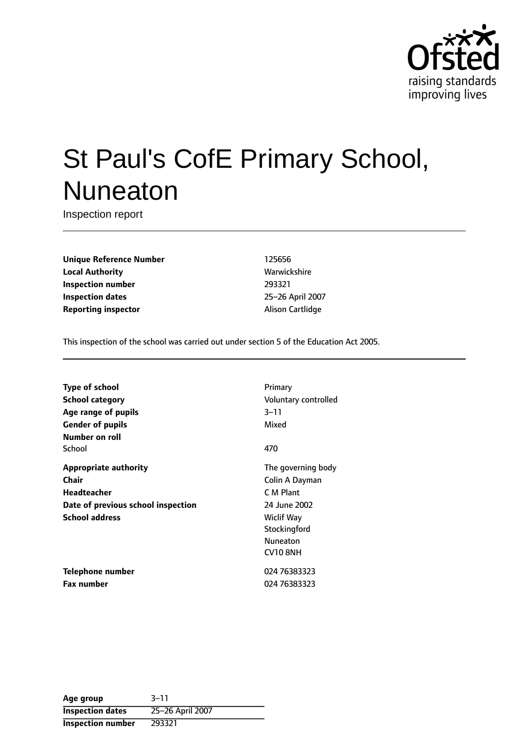

# St Paul's CofE Primary School, Nuneaton

Inspection report

**Unique Reference Number** 125656 **Local Authority Mathority** Warwickshire **Inspection number** 293321 **Inspection dates** 25-26 April 2007 **Reporting inspector** Alison Cartlidge

This inspection of the school was carried out under section 5 of the Education Act 2005.

| <b>Type of school</b>              | Primary              |
|------------------------------------|----------------------|
| <b>School category</b>             | Voluntary controlled |
| Age range of pupils                | $3 - 11$             |
| <b>Gender of pupils</b>            | Mixed                |
| Number on roll                     |                      |
| School                             | 470                  |
| <b>Appropriate authority</b>       | The governing body   |
| Chair                              | Colin A Dayman       |
| Headteacher                        | C M Plant            |
| Date of previous school inspection | 24 June 2002         |
| <b>School address</b>              | <b>Wiclif Way</b>    |
|                                    | Stockingford         |
|                                    | <b>Nuneaton</b>      |
|                                    | CV10 8NH             |
| Telephone number                   | 024 76383323         |
| <b>Fax number</b>                  | 024 76383323         |

Age group 3-11 **Inspection dates** 25-26 April 2007 **Inspection number** 293321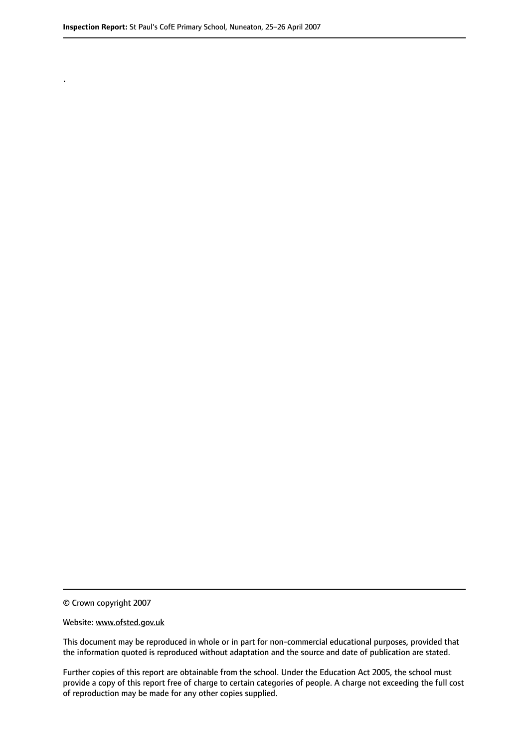.

© Crown copyright 2007

#### Website: www.ofsted.gov.uk

This document may be reproduced in whole or in part for non-commercial educational purposes, provided that the information quoted is reproduced without adaptation and the source and date of publication are stated.

Further copies of this report are obtainable from the school. Under the Education Act 2005, the school must provide a copy of this report free of charge to certain categories of people. A charge not exceeding the full cost of reproduction may be made for any other copies supplied.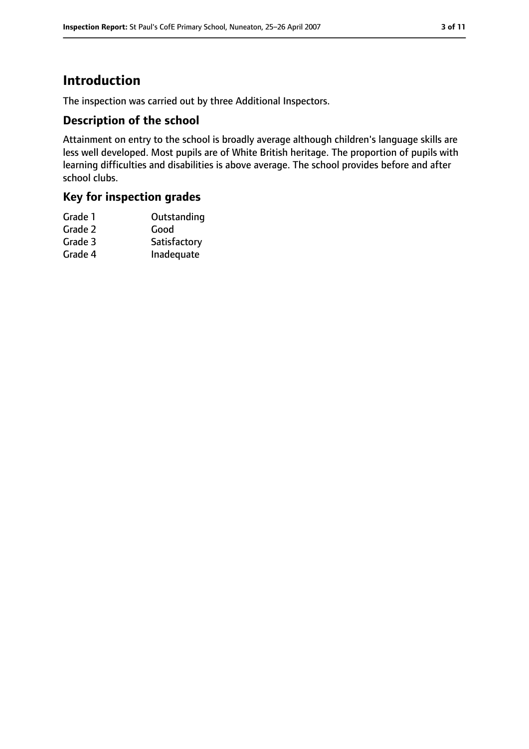## **Introduction**

The inspection was carried out by three Additional Inspectors.

#### **Description of the school**

Attainment on entry to the school is broadly average although children's language skills are less well developed. Most pupils are of White British heritage. The proportion of pupils with learning difficulties and disabilities is above average. The school provides before and after school clubs.

## **Key for inspection grades**

| Grade 1 | Outstanding  |
|---------|--------------|
| Grade 2 | Good         |
| Grade 3 | Satisfactory |
| Grade 4 | Inadequate   |
|         |              |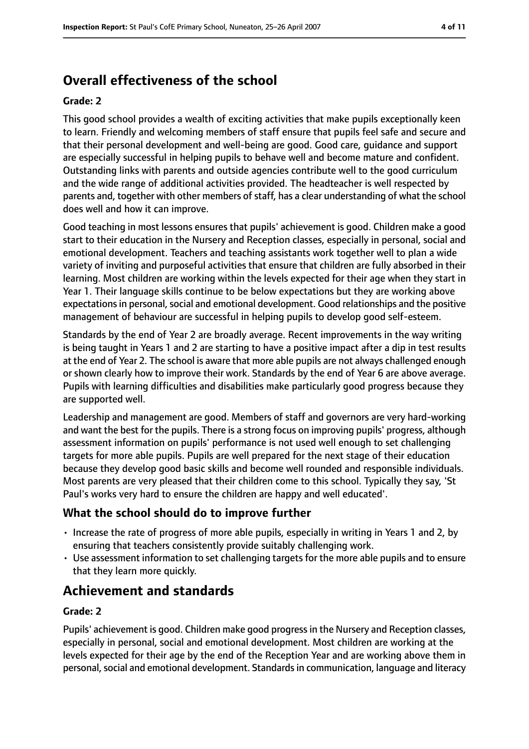# **Overall effectiveness of the school**

#### **Grade: 2**

This good school provides a wealth of exciting activities that make pupils exceptionally keen to learn. Friendly and welcoming members of staff ensure that pupils feel safe and secure and that their personal development and well-being are good. Good care, guidance and support are especially successful in helping pupils to behave well and become mature and confident. Outstanding links with parents and outside agencies contribute well to the good curriculum and the wide range of additional activities provided. The headteacher is well respected by parents and, together with other members of staff, has a clear understanding of what the school does well and how it can improve.

Good teaching in most lessons ensures that pupils' achievement is good. Children make a good start to their education in the Nursery and Reception classes, especially in personal, social and emotional development. Teachers and teaching assistants work together well to plan a wide variety of inviting and purposeful activities that ensure that children are fully absorbed in their learning. Most children are working within the levels expected for their age when they start in Year 1. Their language skills continue to be below expectations but they are working above expectations in personal, social and emotional development. Good relationships and the positive management of behaviour are successful in helping pupils to develop good self-esteem.

Standards by the end of Year 2 are broadly average. Recent improvements in the way writing is being taught in Years 1 and 2 are starting to have a positive impact after a dip in test results at the end of Year 2. The school is aware that more able pupils are not always challenged enough or shown clearly how to improve their work. Standards by the end of Year 6 are above average. Pupils with learning difficulties and disabilities make particularly good progress because they are supported well.

Leadership and management are good. Members of staff and governors are very hard-working and want the best for the pupils. There is a strong focus on improving pupils' progress, although assessment information on pupils' performance is not used well enough to set challenging targets for more able pupils. Pupils are well prepared for the next stage of their education because they develop good basic skills and become well rounded and responsible individuals. Most parents are very pleased that their children come to this school. Typically they say, 'St Paul's works very hard to ensure the children are happy and well educated'.

#### **What the school should do to improve further**

- Increase the rate of progress of more able pupils, especially in writing in Years 1 and 2, by ensuring that teachers consistently provide suitably challenging work.
- Use assessment information to set challenging targets for the more able pupils and to ensure that they learn more quickly.

# **Achievement and standards**

#### **Grade: 2**

Pupils' achievement is good. Children make good progress in the Nursery and Reception classes, especially in personal, social and emotional development. Most children are working at the levels expected for their age by the end of the Reception Year and are working above them in personal, social and emotional development. Standards in communication, language and literacy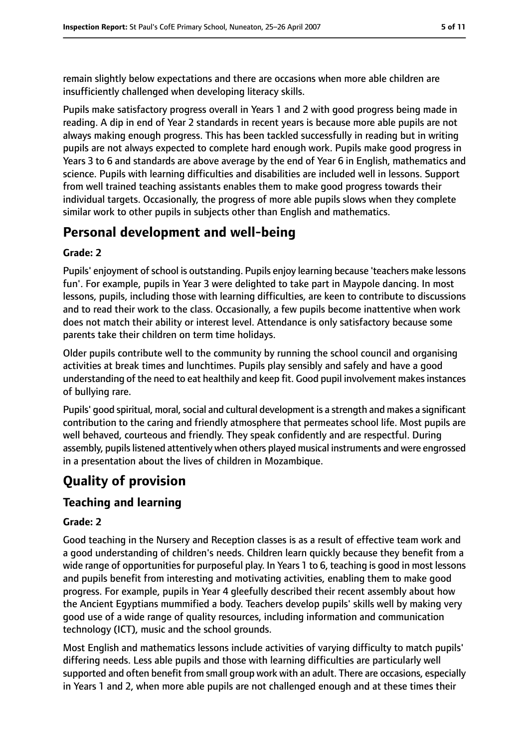remain slightly below expectations and there are occasions when more able children are insufficiently challenged when developing literacy skills.

Pupils make satisfactory progress overall in Years 1 and 2 with good progress being made in reading. A dip in end of Year 2 standards in recent years is because more able pupils are not always making enough progress. This has been tackled successfully in reading but in writing pupils are not always expected to complete hard enough work. Pupils make good progress in Years 3 to 6 and standards are above average by the end of Year 6 in English, mathematics and science. Pupils with learning difficulties and disabilities are included well in lessons. Support from well trained teaching assistants enables them to make good progress towards their individual targets. Occasionally, the progress of more able pupils slows when they complete similar work to other pupils in subjects other than English and mathematics.

## **Personal development and well-being**

#### **Grade: 2**

Pupils' enjoyment of school is outstanding. Pupils enjoy learning because 'teachers make lessons fun'. For example, pupils in Year 3 were delighted to take part in Maypole dancing. In most lessons, pupils, including those with learning difficulties, are keen to contribute to discussions and to read their work to the class. Occasionally, a few pupils become inattentive when work does not match their ability or interest level. Attendance is only satisfactory because some parents take their children on term time holidays.

Older pupils contribute well to the community by running the school council and organising activities at break times and lunchtimes. Pupils play sensibly and safely and have a good understanding of the need to eat healthily and keep fit. Good pupil involvement makes instances of bullying rare.

Pupils' good spiritual, moral, social and cultural development is a strength and makes a significant contribution to the caring and friendly atmosphere that permeates school life. Most pupils are well behaved, courteous and friendly. They speak confidently and are respectful. During assembly, pupils listened attentively when others played musical instruments and were engrossed in a presentation about the lives of children in Mozambique.

# **Quality of provision**

## **Teaching and learning**

#### **Grade: 2**

Good teaching in the Nursery and Reception classes is as a result of effective team work and a good understanding of children's needs. Children learn quickly because they benefit from a wide range of opportunities for purposeful play. In Years 1 to 6, teaching is good in most lessons and pupils benefit from interesting and motivating activities, enabling them to make good progress. For example, pupils in Year 4 gleefully described their recent assembly about how the Ancient Egyptians mummified a body. Teachers develop pupils' skills well by making very good use of a wide range of quality resources, including information and communication technology (ICT), music and the school grounds.

Most English and mathematics lessons include activities of varying difficulty to match pupils' differing needs. Less able pupils and those with learning difficulties are particularly well supported and often benefit from small group work with an adult. There are occasions, especially in Years 1 and 2, when more able pupils are not challenged enough and at these times their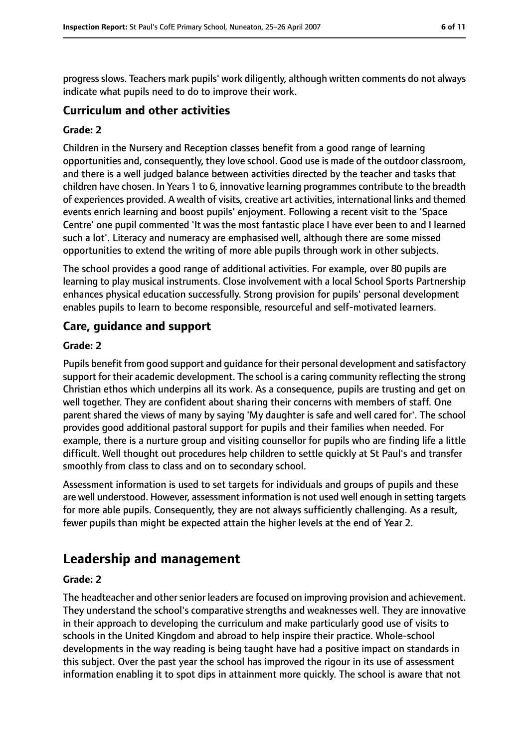progressslows. Teachers mark pupils' work diligently, although written comments do not always indicate what pupils need to do to improve their work.

#### **Curriculum and other activities**

#### **Grade: 2**

Children in the Nursery and Reception classes benefit from a good range of learning opportunities and, consequently, they love school. Good use is made of the outdoor classroom, and there is a well judged balance between activities directed by the teacher and tasks that children have chosen. In Years 1 to 6, innovative learning programmes contribute to the breadth of experiences provided. A wealth of visits, creative art activities, international links and themed events enrich learning and boost pupils' enjoyment. Following a recent visit to the 'Space Centre' one pupil commented 'It was the most fantastic place I have ever been to and I learned such a lot'. Literacy and numeracy are emphasised well, although there are some missed opportunities to extend the writing of more able pupils through work in other subjects.

The school provides a good range of additional activities. For example, over 80 pupils are learning to play musical instruments. Close involvement with a local School Sports Partnership enhances physical education successfully. Strong provision for pupils' personal development enables pupils to learn to become responsible, resourceful and self-motivated learners.

#### **Care, guidance and support**

#### **Grade: 2**

Pupils benefit from good support and guidance for their personal development and satisfactory support for their academic development. The school is a caring community reflecting the strong Christian ethos which underpins all its work. As a consequence, pupils are trusting and get on well together. They are confident about sharing their concerns with members of staff. One parent shared the views of many by saying 'My daughter is safe and well cared for'. The school provides good additional pastoral support for pupils and their families when needed. For example, there is a nurture group and visiting counsellor for pupils who are finding life a little difficult. Well thought out procedures help children to settle quickly at St Paul's and transfer smoothly from class to class and on to secondary school.

Assessment information is used to set targets for individuals and groups of pupils and these are well understood. However, assessment information is not used well enough in setting targets for more able pupils. Consequently, they are not always sufficiently challenging. As a result, fewer pupils than might be expected attain the higher levels at the end of Year 2.

## **Leadership and management**

#### **Grade: 2**

The headteacher and other senior leaders are focused on improving provision and achievement. They understand the school's comparative strengths and weaknesses well. They are innovative in their approach to developing the curriculum and make particularly good use of visits to schools in the United Kingdom and abroad to help inspire their practice. Whole-school developments in the way reading is being taught have had a positive impact on standards in this subject. Over the past year the school has improved the rigour in its use of assessment information enabling it to spot dips in attainment more quickly. The school is aware that not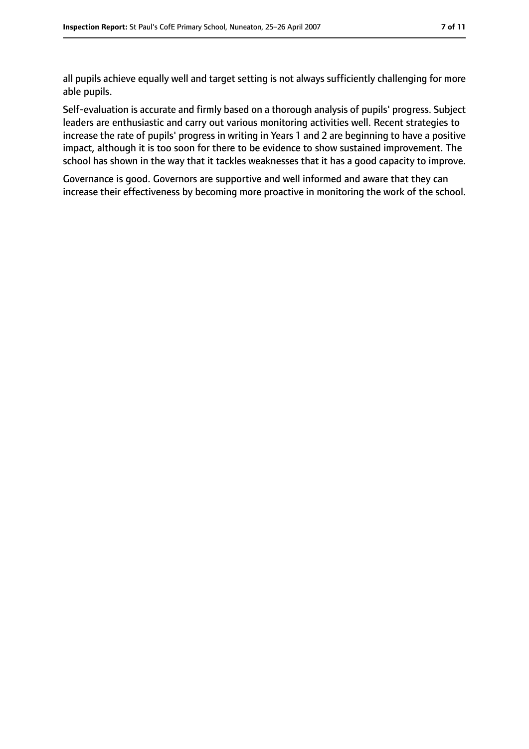all pupils achieve equally well and target setting is not always sufficiently challenging for more able pupils.

Self-evaluation is accurate and firmly based on a thorough analysis of pupils' progress. Subject leaders are enthusiastic and carry out various monitoring activities well. Recent strategies to increase the rate of pupils' progress in writing in Years 1 and 2 are beginning to have a positive impact, although it is too soon for there to be evidence to show sustained improvement. The school has shown in the way that it tackles weaknesses that it has a good capacity to improve.

Governance is good. Governors are supportive and well informed and aware that they can increase their effectiveness by becoming more proactive in monitoring the work of the school.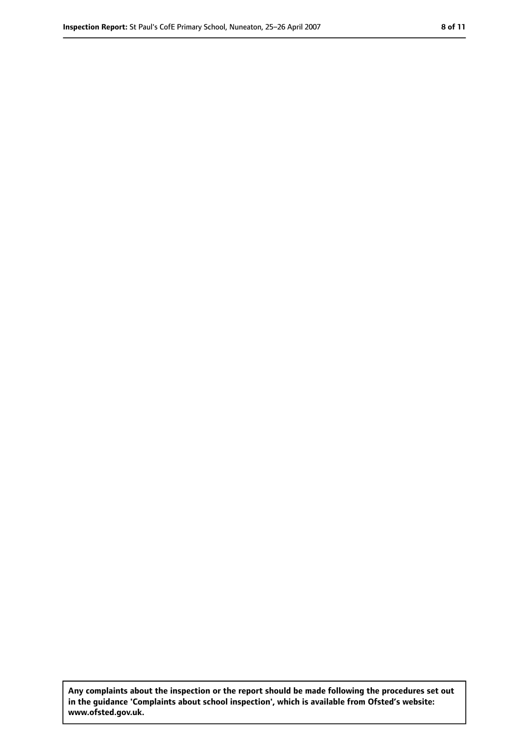**Any complaints about the inspection or the report should be made following the procedures set out in the guidance 'Complaints about school inspection', which is available from Ofsted's website: www.ofsted.gov.uk.**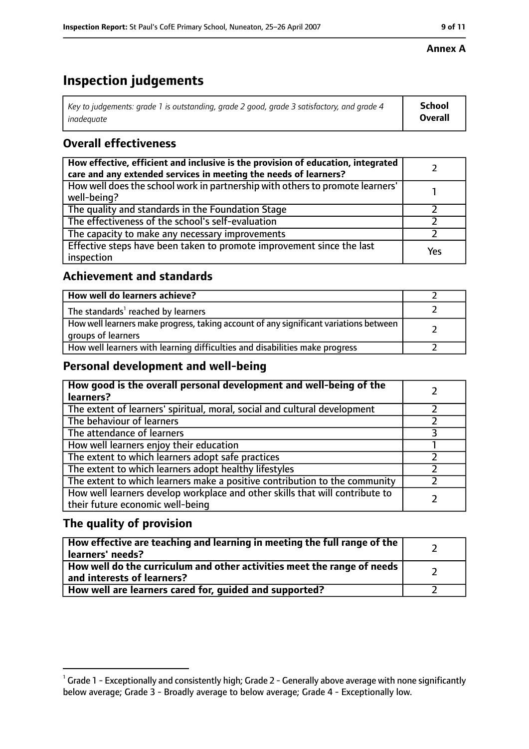#### **Inspection Report:** St Paul's CofE Primary School, Nuneaton, 25-26 April 2007 **9 11**

#### **Annex A**

# **Inspection judgements**

| Key to judgements: grade 1 is outstanding, grade 2 good, grade 3 satisfactory, and grade 4 | School         |
|--------------------------------------------------------------------------------------------|----------------|
| inadequate                                                                                 | <b>Overall</b> |

## **Overall effectiveness**

| How effective, efficient and inclusive is the provision of education, integrated<br>care and any extended services in meeting the needs of learners? |     |
|------------------------------------------------------------------------------------------------------------------------------------------------------|-----|
| How well does the school work in partnership with others to promote learners'<br>well-being?                                                         |     |
| The quality and standards in the Foundation Stage                                                                                                    |     |
| The effectiveness of the school's self-evaluation                                                                                                    |     |
| The capacity to make any necessary improvements                                                                                                      |     |
| Effective steps have been taken to promote improvement since the last<br>inspection                                                                  | Yes |

## **Achievement and standards**

| How well do learners achieve?                                                                               |  |
|-------------------------------------------------------------------------------------------------------------|--|
| The standards <sup>1</sup> reached by learners                                                              |  |
| How well learners make progress, taking account of any significant variations between<br>groups of learners |  |
| How well learners with learning difficulties and disabilities make progress                                 |  |

## **Personal development and well-being**

| How good is the overall personal development and well-being of the<br>learners?                                  |  |
|------------------------------------------------------------------------------------------------------------------|--|
| The extent of learners' spiritual, moral, social and cultural development                                        |  |
| The behaviour of learners                                                                                        |  |
| The attendance of learners                                                                                       |  |
| How well learners enjoy their education                                                                          |  |
| The extent to which learners adopt safe practices                                                                |  |
| The extent to which learners adopt healthy lifestyles                                                            |  |
| The extent to which learners make a positive contribution to the community                                       |  |
| How well learners develop workplace and other skills that will contribute to<br>their future economic well-being |  |

## **The quality of provision**

| How effective are teaching and learning in meeting the full range of the<br>learners' needs?          |  |
|-------------------------------------------------------------------------------------------------------|--|
| How well do the curriculum and other activities meet the range of needs<br>and interests of learners? |  |
| How well are learners cared for, guided and supported?                                                |  |

 $^1$  Grade 1 - Exceptionally and consistently high; Grade 2 - Generally above average with none significantly below average; Grade 3 - Broadly average to below average; Grade 4 - Exceptionally low.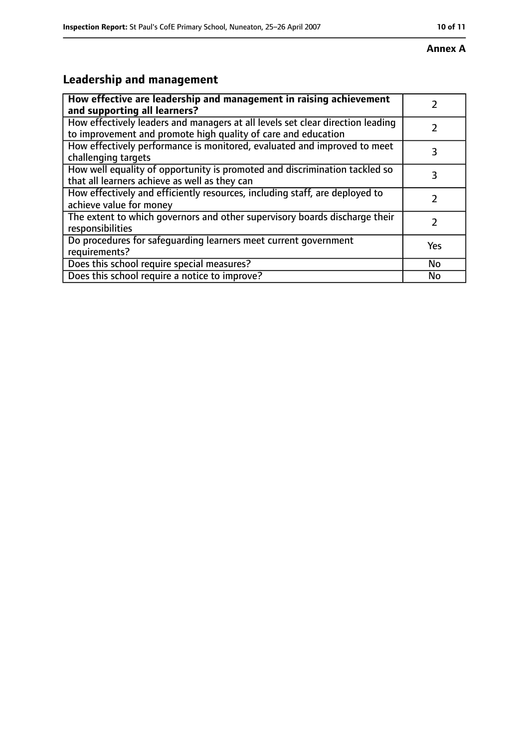#### **Annex A**

# **Leadership and management**

| How effective are leadership and management in raising achievement<br>and supporting all learners?                                              |     |
|-------------------------------------------------------------------------------------------------------------------------------------------------|-----|
| How effectively leaders and managers at all levels set clear direction leading<br>to improvement and promote high quality of care and education |     |
| How effectively performance is monitored, evaluated and improved to meet<br>challenging targets                                                 | 3   |
| How well equality of opportunity is promoted and discrimination tackled so<br>that all learners achieve as well as they can                     | 3   |
| How effectively and efficiently resources, including staff, are deployed to<br>achieve value for money                                          | 2   |
| The extent to which governors and other supervisory boards discharge their<br>responsibilities                                                  | 2   |
| Do procedures for safequarding learners meet current government<br>requirements?                                                                | Yes |
| Does this school require special measures?                                                                                                      | No  |
| Does this school require a notice to improve?                                                                                                   | No  |